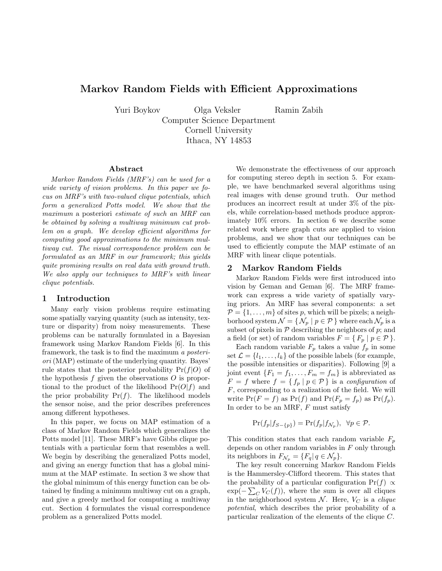# **Markov Random Fields with Efficient Approximations**

Yuri Boykov Olga Veksler Ramin Zabih

Computer Science Department Cornell University Ithaca, NY 14853

#### **Abstract**

Markov Random Fields (MRF's) can be used for a wide variety of vision problems. In this paper we focus on MRF's with two-valued clique potentials, which form a generalized Potts model. We show that the maximum a posteriori estimate of such an MRF can be obtained by solving a multiway minimum cut problem on a graph. We develop efficient algorithms for computing good approximations to the minimum multiway cut. The visual correspondence problem can be formulated as an MRF in our framework; this yields quite promising results on real data with ground truth. We also apply our techniques to MRF's with linear clique potentials.

#### **1 Introduction**

Many early vision problems require estimating some spatially varying quantity (such as intensity, texture or disparity) from noisy measurements. These problems can be naturally formulated in a Bayesian framework using Markov Random Fields [6]. In this framework, the task is to find the maximum a posteriori (MAP) estimate of the underlying quantity. Bayes' rule states that the posterior probability  $Pr(f|O)$  of the hypothesis f given the observations  $\hat{O}$  is proportional to the product of the likelihood  $Pr(O|f)$  and the prior probability  $Pr(f)$ . The likelihood models the sensor noise, and the prior describes preferences among different hypotheses.

In this paper, we focus on MAP estimation of a class of Markov Random Fields which generalizes the Potts model [11]. These MRF's have Gibbs clique potentials with a particular form that resembles a well. We begin by describing the generalized Potts model, and giving an energy function that has a global minimum at the MAP estimate. In section 3 we show that the global minimum of this energy function can be obtained by finding a minimum multiway cut on a graph, and give a greedy method for computing a multiway cut. Section 4 formulates the visual correspondence problem as a generalized Potts model.

We demonstrate the effectiveness of our approach for computing stereo depth in section 5. For example, we have benchmarked several algorithms using real images with dense ground truth. Our method produces an incorrect result at under 3% of the pixels, while correlation-based methods produce approximately 10% errors. In section 6 we describe some related work where graph cuts are applied to vision problems, and we show that our techniques can be used to efficiently compute the MAP estimate of an MRF with linear clique potentials.

#### **2 Markov Random Fields**

Markov Random Fields were first introduced into vision by Geman and Geman [6]. The MRF framework can express a wide variety of spatially varying priors. An MRF has several components: a set  $\mathcal{P} = \{1, \ldots, m\}$  of sites p, which will be pixels; a neighborhood system  $\mathcal{N} = \{ \mathcal{N}_p \mid p \in \mathcal{P} \}$  where each  $\mathcal{N}_p$  is a subset of pixels in  $P$  describing the neighbors of  $p$ ; and a field (or set) of random variables  $F = \{ F_p \mid p \in \mathcal{P} \}.$ 

Each random variable  $F_p$  takes a value  $f_p$  in some set  $\mathcal{L} = \{l_1, \ldots, l_k\}$  of the possible labels (for example, the possible intensities or disparities). Following [9] a joint event  $\{F_1 = f_1, \ldots, F_m = f_m\}$  is abbreviated as  $F = f$  where  $f = \{ f_p \mid p \in \mathcal{P} \}$  is a configuration of F, corresponding to a realization of the field. We will write  $Pr(F = f)$  as  $Pr(f)$  and  $Pr(F_p = f_p)$  as  $Pr(f_p)$ . In order to be an MRF,  $F$  must satisfy

$$
\Pr(f_p|f_{S-\{p\}}) = \Pr(f_p|f_{\mathcal{N}_p}), \ \ \forall p \in \mathcal{P}.
$$

This condition states that each random variable  $F_p$ depends on other random variables in  $F$  only through its neighbors in  $F_{\mathcal{N}_p} = \{F_q | q \in \mathcal{N}_p\}.$ 

The key result concerning Markov Random Fields is the Hammersley-Clifford theorem. This states that the probability of a particular configuration Pr(f)  $\propto$  $\exp(-\sum_{C} V_C(f))$ , where the sum is over all cliques in the neighborhood system  $N$ . Here,  $V_C$  is a *clique* potential, which describes the prior probability of a particular realization of the elements of the clique C.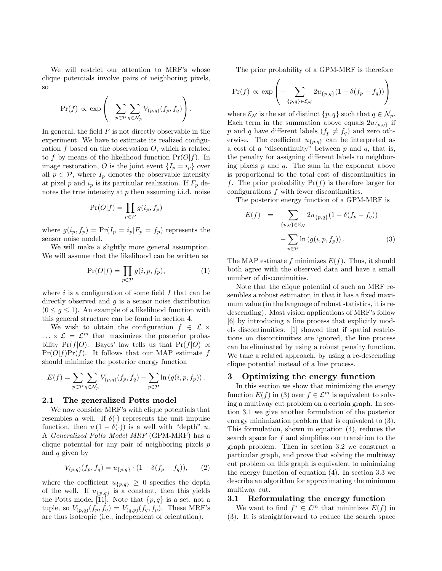We will restrict our attention to MRF's whose clique potentials involve pairs of neighboring pixels, so

$$
\Pr(f) \propto \exp\left(-\sum_{p \in \mathcal{P}} \sum_{q \in \mathcal{N}_p} V_{(p,q)}(f_p, f_q)\right).
$$

In general, the field  $F$  is not directly observable in the experiment. We have to estimate its realized configuration  $f$  based on the observation  $O$ , which is related to f by means of the likelihood function  $Pr(O|f)$ . In image restoration, O is the joint event  $\{I_p = i_p\}$  over all  $p \in \mathcal{P}$ , where  $I_p$  denotes the observable intensity at pixel p and  $i_p$  is its particular realization. If  $F_p$  denotes the true intensity at p then assuming i.i.d. noise

$$
\Pr(O|f) = \prod_{p \in \mathcal{P}} g(i_p, f_p)
$$

where  $g(i_p, f_p) = Pr(I_p = i_p | F_p = f_p)$  represents the sensor noise model.

We will make a slightly more general assumption. We will assume that the likelihood can be written as

$$
\Pr(O|f) = \prod_{p \in \mathcal{P}} g(i, p, f_p),\tag{1}
$$

where  $i$  is a configuration of some field  $I$  that can be directly observed and  $g$  is a sensor noise distribution  $(0 \leq g \leq 1)$ . An example of a likelihood function with this general structure can be found in section 4.

We wish to obtain the configuration  $f \in \mathcal{L} \times$  $\ldots \times \mathcal{L} = \mathcal{L}^m$  that maximizes the posterior probability Pr(f|O). Bayes' law tells us that Pr(f|O)  $\propto$  $Pr(O|f)Pr(f)$ . It follows that our MAP estimate f should minimize the posterior energy function

$$
E(f) = \sum_{p \in \mathcal{P}} \sum_{q \in \mathcal{N}_p} V_{(p,q)}(f_p, f_q) - \sum_{p \in \mathcal{P}} \ln(g(i, p, f_p)).
$$

#### **2.1 The generalized Potts model**

We now consider MRF's with clique potentials that resembles a well. If  $\delta(\cdot)$  represents the unit impulse function, then  $u(1 - \delta(\cdot))$  is a well with "depth" u. A Generalized Potts Model MRF (GPM-MRF) has a clique potential for any pair of neighboring pixels  $p$ and  $q$  given by

$$
V_{(p,q)}(f_p, f_q) = u_{\{p,q\}} \cdot (1 - \delta(f_p - f_q)), \qquad (2)
$$

where the coefficient  $u_{\{p,q\}} \geq 0$  specifies the depth of the well. If  $u_{\{p,q\}}$  is a constant, then this yields the Potts model [11]. Note that  $\{p,q\}$  is a set, not a tuple, so  $V_{(p,q)}(f_p, f_q) = V_{(q,p)}(f_q, f_p)$ . These MRF's are thus isotropic (i.e., independent of orientation).

The prior probability of a GPM-MRF is therefore

$$
\Pr(f) \propto \exp\left(-\sum_{\{p,q\}\in\mathcal{E}_{\mathcal{N}}} 2u_{\{p,q\}}(1-\delta(f_p-f_q))\right)
$$

where  $\mathcal{E}_{\mathcal{N}}$  is the set of distinct  $\{p, q\}$  such that  $q \in \mathcal{N}_p$ . Each term in the summation above equals  $2u_{p,q}$  if p and q have different labels  $(f_p \neq f_q)$  and zero otherwise. The coefficient  $u_{p,q}$  can be interpreted as a cost of a "discontinuity" between  $p$  and  $q$ , that is, the penalty for assigning different labels to neighboring pixels  $p$  and  $q$ . The sum in the exponent above is proportional to the total cost of discontinuities in f. The prior probability  $Pr(f)$  is therefore larger for configurations f with fewer discontinuities.

The posterior energy function of a GPM-MRF is

$$
E(f) = \sum_{\{p,q\} \in \mathcal{E}_{\mathcal{N}}} 2u_{\{p,q\}}(1 - \delta(f_p - f_q))
$$

$$
- \sum_{p \in \mathcal{P}} \ln(g(i, p, f_p)). \tag{3}
$$

The MAP estimate f minimizes  $E(f)$ . Thus, it should both agree with the observed data and have a small number of discontinuities.

Note that the clique potential of such an MRF resembles a robust estimator, in that it has a fixed maximum value (in the language of robust statistics, it is redescending). Most vision applications of MRF's follow [6] by introducing a line process that explicitly models discontinuities. [1] showed that if spatial restrictions on discontinuities are ignored, the line process can be eliminated by using a robust penalty function. We take a related approach, by using a re-descending clique potential instead of a line process.

# **3 Optimizing the energy function**

In this section we show that minimizing the energy function  $E(f)$  in (3) over  $f \in \mathcal{L}^m$  is equivalent to solving a multiway cut problem on a certain graph. In section 3.1 we give another formulation of the posterior energy minimization problem that is equivalent to (3). This formulation, shown in equation (4), reduces the search space for f and simplifies our transition to the graph problem. Then in section 3.2 we construct a particular graph, and prove that solving the multiway cut problem on this graph is equivalent to minimizing the energy function of equation (4). In section 3.3 we describe an algorithm for approximating the minimum multiway cut.

### **3.1 Reformulating the energy function**

We want to find  $f^* \in \mathcal{L}^m$  that minimizes  $E(f)$  in (3). It is straightforward to reduce the search space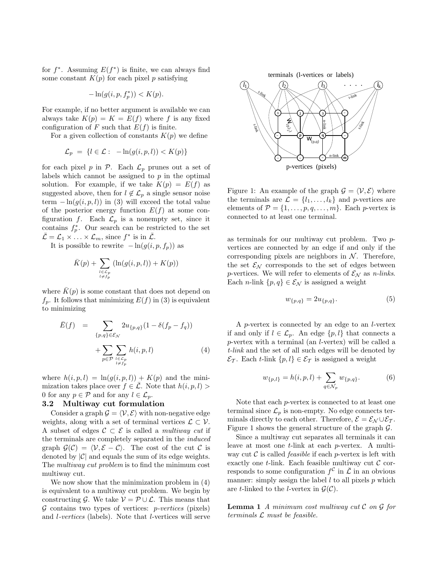for  $f^*$ . Assuming  $E(f^*)$  is finite, we can always find some constant  $K(p)$  for each pixel p satisfying

$$
-\ln(g(i, p, f_p^*)) < K(p).
$$

For example, if no better argument is available we can always take  $K(p) = K = E(f)$  where f is any fixed configuration of F such that  $E(f)$  is finite.

For a given collection of constants  $K(p)$  we define

$$
\mathcal{L}_p = \{l \in \mathcal{L} : -\ln(g(i, p, l)) < K(p)\}
$$

for each pixel p in  $P$ . Each  $\mathcal{L}_p$  prunes out a set of labels which cannot be assigned to  $p$  in the optimal solution. For example, if we take  $K(p) = E(f)$  as suggested above, then for  $l \notin \mathcal{L}_p$  a single sensor noise term  $-\ln(g(i, p, l))$  in (3) will exceed the total value of the posterior energy function  $E(f)$  at some configuration f. Each  $\mathcal{L}_p$  is a nonempty set, since it contains  $f_p^*$ . Our search can be restricted to the set  $\mathcal{L} = \mathcal{L}_1 \times \ldots \times \mathcal{L}_m$ , since  $f^*$  is in  $\mathcal{L}$ .

It is possible to rewrite  $-\ln(g(i, p, f_p))$  as

$$
\bar{K}(p) + \sum_{\substack{l \in \mathcal{L}_p \\ l \neq f_p}} (\ln(g(i, p, l)) + K(p))
$$

where  $K(p)$  is some constant that does not depend on  $f_p$ . It follows that minimizing  $E(f)$  in (3) is equivalent to minimizing

$$
\bar{E}(f) = \sum_{\{p,q\} \in \mathcal{E}_{\mathcal{N}}} 2u_{\{p,q\}}(1 - \delta(f_p - f_q)) + \sum_{p \in \mathcal{P}} \sum_{\substack{l \in \mathcal{L}_p \\ l \neq f_p}} h(i, p, l) \tag{4}
$$

where  $h(i, p, l) = \ln(g(i, p, l)) + K(p)$  and the minimization takes place over  $f \in \overline{L}$ . Note that  $h(i, p, l)$ 0 for any  $p \in \mathcal{P}$  and for any  $l \in \mathcal{L}_p$ .

### **3.2 Multiway cut formulation**

Consider a graph  $\mathcal{G} = \langle \mathcal{V}, \mathcal{E} \rangle$  with non-negative edge weights, along with a set of terminal vertices  $\mathcal{L} \subset \mathcal{V}$ . A subset of edges  $C \subset \mathcal{E}$  is called a multiway cut if the terminals are completely separated in the induced graph  $\mathcal{G}(\mathcal{C}) = \langle \mathcal{V}, \mathcal{E} - \mathcal{C} \rangle$ . The cost of the cut  $\mathcal{C}$  is denoted by  $|\mathcal{C}|$  and equals the sum of its edge weights. The multiway cut problem is to find the minimum cost multiway cut.

We now show that the minimization problem in (4) is equivalent to a multiway cut problem. We begin by constructing  $\mathcal{G}$ . We take  $\mathcal{V} = \mathcal{P} \cup \mathcal{L}$ . This means that  $G$  contains two types of vertices:  $p\text{-}vertices$  (pixels) and l-vertices (labels). Note that l-vertices will serve

terminals (l-vertices or labels)



Figure 1: An example of the graph  $\mathcal{G} = \langle \mathcal{V}, \mathcal{E} \rangle$  where the terminals are  $\mathcal{L} = \{l_1, \ldots, l_k\}$  and p-vertices are elements of  $\mathcal{P} = \{1, \ldots, p, q, \ldots, m\}$ . Each p-vertex is connected to at least one terminal.

as terminals for our multiway cut problem. Two pvertices are connected by an edge if and only if the corresponding pixels are neighbors in  $N$ . Therefore, the set  $\mathcal{E}_{\mathcal{N}}$  corresponds to the set of edges between p-vertices. We will refer to elements of  $\mathcal{E}_{\mathcal{N}}$  as *n-links*. Each *n*-link  $\{p, q\} \in \mathcal{E}_{\mathcal{N}}$  is assigned a weight

$$
w_{\{p,q\}} = 2u_{\{p,q\}}.\t\t(5)
$$

A p-vertex is connected by an edge to an l-vertex if and only if  $l \in \mathcal{L}_p$ . An edge  $\{p, l\}$  that connects a p-vertex with a terminal (an l-vertex) will be called a t-link and the set of all such edges will be denoted by  $\mathcal{E}_{\mathcal{T}}$ . Each t-link  $\{p, l\} \in \mathcal{E}_{\mathcal{T}}$  is assigned a weight

$$
w_{\{p,l\}} = h(i, p, l) + \sum_{q \in \mathcal{N}_p} w_{\{p,q\}}.
$$
 (6)

Note that each p-vertex is connected to at least one terminal since  $\mathcal{L}_p$  is non-empty. No edge connects terminals directly to each other. Therefore,  $\mathcal{E} = \mathcal{E}_{\mathcal{N}} \cup \mathcal{E}_{\mathcal{T}}$ . Figure 1 shows the general structure of the graph  $\mathcal{G}$ .

Since a multiway cut separates all terminals it can leave at most one t-link at each p-vertex. A multiway cut  $\mathcal C$  is called *feasible* if each *p*-vertex is left with exactly one  $t$ -link. Each feasible multiway cut  $C$  corresponds to some configuration  $f^{\mathcal{C}}$  in  $\overline{\mathcal{L}}$  in an obvious manner: simply assign the label  $l$  to all pixels  $p$  which are t-linked to the *l*-vertex in  $\mathcal{G}(\mathcal{C})$ .

**Lemma 1** A minimum cost multiway cut  $\mathcal{C}$  on  $\mathcal{G}$  for terminals  $L$  must be feasible.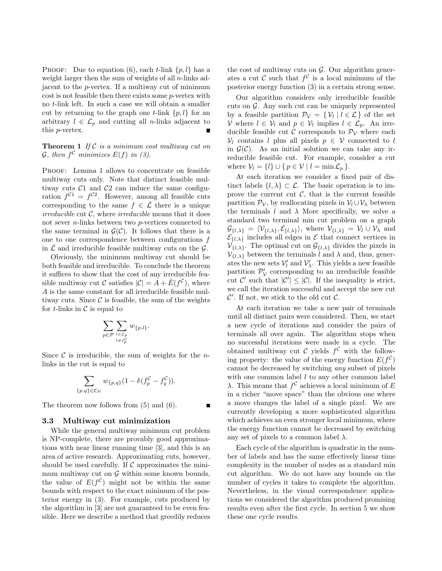PROOF: Due to equation (6), each t-link  $\{p, l\}$  has a weight larger then the sum of weights of all  $n$ -links adjacent to the p-vertex. If a multiway cut of minimum  $\cos t$  is not feasible then there exists some  $p$ -vertex with no t-link left. In such a case we will obtain a smaller cut by returning to the graph one t-link  $\{p, l\}$  for an arbitrary  $l \in \mathcal{L}_p$  and cutting all *n*-links adjacent to this p-vertex.

**Theorem 1** If  $C$  is a minimum cost multiway cut on G, then  $f^{\mathcal{C}}$  minimizes  $E(f)$  in (3).

PROOF: Lemma 1 allows to concentrate on feasible multiway cuts only. Note that distinct feasible multiway cuts  $C1$  and  $C2$  can induce the same configuration  $f^{C_1} = f^{C_2}$ . However, among all feasible cuts corresponding to the same  $f \in \overline{L}$  there is a unique irreducible cut  $C$ , where irreducible means that it does not sever n-links between two p-vertices connected to the same terminal in  $\mathcal{G}(\mathcal{C})$ . It follows that there is a one to one correspondence between configurations f in  $\overline{\mathcal{L}}$  and irreducible feasible multiway cuts on the  $\mathcal{G}$ .

Obviously, the minimum multiway cut should be both feasible and irreducible. To conclude the theorem it suffices to show that the cost of any irreducible feasible multiway cut C satisfies  $|\mathcal{C}| = A + \bar{E}(f^{\mathcal{C}})$ , where A is the same constant for all irreducible feasible multiway cuts. Since  $C$  is feasible, the sum of the weights for  $t$ -links in  $\mathcal C$  is equal to

$$
\sum_{p \in \mathcal{P}} \sum_{\substack{l \in \mathcal{L}_p \\ l \neq f_p^{\mathcal{C}}}} w_{\{p,l\}}.
$$

Since  $\mathcal C$  is irreducible, the sum of weights for the *n*links in the cut is equal to

$$
\sum_{\{p,q\}\in\mathcal{E}_{\mathcal{N}}} w_{\{p,q\}} (1-\delta(f_p^{\mathcal{C}} - f_q^{\mathcal{C}})).
$$

The theorem now follows from (5) and (6).

### **3.3 Multiway cut minimization**

While the general multiway minimum cut problem is NP-complete, there are provably good approximations with near linear running time [3], and this is an area of active research. Approximating cuts, however, should be used carefully. If  $\mathcal C$  approximates the minimum multiway cut on  $G$  within some known bounds, the value of  $E(f^{\mathcal{C}})$  might not be within the same bounds with respect to the exact minimum of the posterior energy in (3). For example, cuts produced by the algorithm in [3] are not guaranteed to be even feasible. Here we describe a method that greedily reduces the cost of multiway cuts on  $\mathcal{G}$ . Our algorithm generates a cut  $\mathcal C$  such that  $f^{\mathcal C}$  is a local minimum of the posterior energy function (3) in a certain strong sense.

Our algorithm considers only irreducible feasible cuts on  $\mathcal G$ . Any such cut can be uniquely represented by a feasible partition  $\mathcal{P}_{\mathcal{V}} = \{ \mathcal{V}_l | l \in \mathcal{L} \}$  of the set  $V$  where  $l \in V_l$  and  $p \in V_l$  implies  $l \in \mathcal{L}_p$ . An irreducible feasible cut C corresponds to  $\mathcal{P}_v$  where each  $V_l$  contains l plus all pixels  $p \in V$  connected to l in  $\mathcal{G}(\mathcal{C})$ . As an initial solution we can take any irreducible feasible cut. For example, consider a cut where  $\mathcal{V}_l = \{l\} \cup \{p \in \mathcal{V} \mid l = \min \mathcal{L}_p \}.$ 

At each iteration we consider a fixed pair of distinct labels  $\{l, \lambda\} \subset \mathcal{L}$ . The basic operation is to improve the current cut  $\mathcal{C}$ , that is the current feasible partition  $\mathcal{P}_{\mathcal{V}}$ , by reallocating pixels in  $\mathcal{V}_l \cup \mathcal{V}_\lambda$  between the terminals l and  $\lambda$  More specifically, we solve a standard two terminal min cut problem on a graph  $\mathcal{G}_{\{l,\lambda\}} = \langle \mathcal{V}_{\{l,\lambda\}}, \mathcal{E}_{\{l,\lambda\}} \rangle$ , where  $\mathcal{V}_{\{l,\lambda\}} = \mathcal{V}_l \cup \mathcal{V}_\lambda$  and  $\mathcal{E}_{\{l,\lambda\}}$  includes all edges in  $\mathcal E$  that connect vertices in  $\mathcal{V}_{\{l,\lambda\}}$ . The optimal cut on  $\mathcal{G}_{\{l,\lambda\}}$  divides the pixels in  $V_{\{l,\lambda\}}$  between the terminals l and  $\lambda$  and, thus, generates the new sets  $V'_l$  and  $V'_\lambda$ . This yields a new feasible partition  $\mathcal{P}'_{\mathcal{V}}$  corresponding to an irreducible feasible cut  $\mathcal{C}'$  such that  $|\mathcal{C}'| \leq |\mathcal{C}|$ . If the inequality is strict, we call the iteration successful and accept the new cut  $\mathcal{C}'$ . If not, we stick to the old cut  $\mathcal{C}$ .

At each iteration we take a new pair of terminals until all distinct pairs were considered. Then, we start a new cycle of iterations and consider the pairs of terminals all over again. The algorithm stops when no successful iterations were made in a cycle. The obtained multiway cut  $\mathcal C$  yields  $f^{\mathcal C}$  with the following property: the value of the energy function  $E(f^{\mathcal{C}})$ cannot be decreased by switching any subset of pixels with one common label  $l$  to any other common label λ. This means that  $f^C$  achieves a local minimum of E in a richer "move space" than the obvious one where a move changes the label of a single pixel. We are currently developing a more sophisticated algorithm which achieves an even stronger local minimum, where the energy function cannot be decreased by switching any set of pixels to a common label  $\lambda$ .

Each cycle of the algorithm is quadratic in the number of labels and has the same effectively linear time complexity in the number of nodes as a standard min cut algorithm. We do not have any bounds on the number of cycles it takes to complete the algorithm. Nevertheless, in the visual correspondence applications we considered the algorithm produced promising results even after the first cycle. In section 5 we show these one cycle results.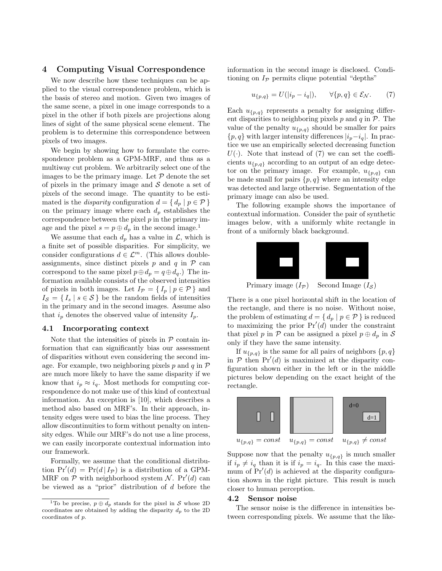## **4 Computing Visual Correspondence**

We now describe how these techniques can be applied to the visual correspondence problem, which is the basis of stereo and motion. Given two images of the same scene, a pixel in one image corresponds to a pixel in the other if both pixels are projections along lines of sight of the same physical scene element. The problem is to determine this correspondence between pixels of two images.

We begin by showing how to formulate the correspondence problem as a GPM-MRF, and thus as a multiway cut problem. We arbitrarily select one of the images to be the primary image. Let  $P$  denote the set of pixels in the primary image and  $\mathcal S$  denote a set of pixels of the second image. The quantity to be estimated is the *disparity* configuration  $d = \{ d_p \mid p \in \mathcal{P} \}$ on the primary image where each  $d_p$  establishes the correspondence between the pixel  $p$  in the primary image and the pixel  $s = p \oplus d_p$  in the second image.<sup>1</sup>

We assume that each  $d_p$  has a value in  $\mathcal{L}$ , which is a finite set of possible disparities. For simplicity, we consider configurations  $d \in \mathcal{L}^m$ . (This allows doubleassignments, since distinct pixels  $p$  and  $q$  in  $\mathcal P$  can correspond to the same pixel  $p \oplus d_p = q \oplus d_q$ .) The information available consists of the observed intensities of pixels in both images. Let  $I_{\mathcal{P}} = \{ I_p \mid p \in \mathcal{P} \}$  and  $I_{\mathcal{S}} = \{I_s | s \in \mathcal{S}\}\$ be the random fields of intensities in the primary and in the second images. Assume also that  $i_p$  denotes the observed value of intensity  $I_p$ .

#### **4.1 Incorporating context**

Note that the intensities of pixels in  $P$  contain information that can significantly bias our assessment of disparities without even considering the second image. For example, two neighboring pixels  $p$  and  $q$  in  $\mathcal P$ are much more likely to have the same disparity if we know that  $i_p \approx i_q$ . Most methods for computing correspondence do not make use of this kind of contextual information. An exception is [10], which describes a method also based on MRF's. In their approach, intensity edges were used to bias the line process. They allow discontinuities to form without penalty on intensity edges. While our MRF's do not use a line process, we can easily incorporate contextual information into our framework.

Formally, we assume that the conditional distribution  $Pr'(d) = Pr(d | I_P)$  is a distribution of a GPM-MRF on  $P$  with neighborhood system N. Pr'(d) can be viewed as a "prior" distribution of d before the information in the second image is disclosed. Conditioning on  $I_{\mathcal{P}}$  permits clique potential "depths"

$$
u_{\{p,q\}} = U(|i_p - i_q|), \qquad \forall \{p,q\} \in \mathcal{E_N}.
$$
 (7)

Each  $u_{p,q}$  represents a penalty for assigning different disparities to neighboring pixels  $p$  and  $q$  in  $P$ . The value of the penalty  $u_{p,q}$  should be smaller for pairs  $\{p, q\}$  with larger intensity differences  $|i_p-i_q|$ . In practice we use an empirically selected decreasing function  $U(\cdot)$ . Note that instead of (7) we can set the coefficients  $u_{\{p,q\}}$  according to an output of an edge detector on the primary image. For example,  $u_{p,q}$  can be made small for pairs  $\{p, q\}$  where an intensity edge was detected and large otherwise. Segmentation of the primary image can also be used.

The following example shows the importance of contextual information. Consider the pair of synthetic images below, with a uniformly white rectangle in front of a uniformly black background.



There is a one pixel horizontal shift in the location of the rectangle, and there is no noise. Without noise, the problem of estimating  $d = \{ d_p \mid p \in \mathcal{P} \}$  is reduced to maximizing the prior  $Pr'(d)$  under the constraint that pixel p in  $P$  can be assigned a pixel  $p \oplus d_p$  in S only if they have the same intensity.

If  $u_{\{p,q\}}$  is the same for all pairs of neighbors  $\{p,q\}$ in  $P$  then  $Pr'(d)$  is maximized at the disparity configuration shown either in the left or in the middle pictures below depending on the exact height of the rectangle.



Suppose now that the penalty  $u_{p,q}$  is much smaller if  $i_p \neq i_q$  than it is if  $i_p = i_q$ . In this case the maximum of  $Pr'(d)$  is achieved at the disparity configuration shown in the right picture. This result is much closer to human perception.

#### **4.2 Sensor noise**

The sensor noise is the difference in intensities between corresponding pixels. We assume that the like-

<sup>&</sup>lt;sup>1</sup>To be precise,  $p \oplus d_p$  stands for the pixel in S whose 2D coordinates are obtained by adding the disparity  $d_p$  to the 2D coordinates of p.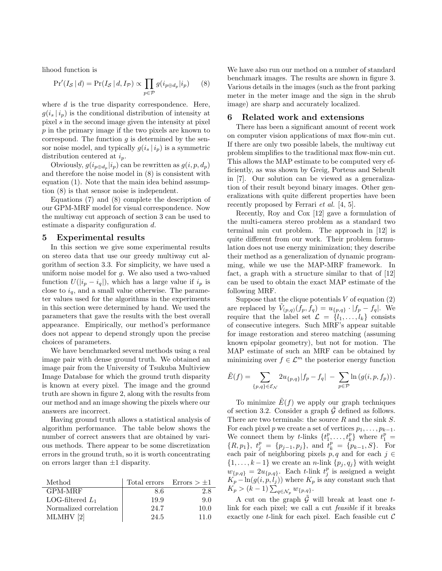lihood function is

$$
\Pr'(I_{\mathcal{S}} | d) = \Pr(I_{\mathcal{S}} | d, I_{\mathcal{P}}) \propto \prod_{p \in \mathcal{P}} g(i_{p \oplus d_p} | i_p) \tag{8}
$$

where  $d$  is the true disparity correspondence. Here,  $g(i_s|i_p)$  is the conditional distribution of intensity at pixel  $s$  in the second image given the intensity at pixel p in the primary image if the two pixels are known to correspond. The function  $g$  is determined by the sensor noise model, and typically  $g(i_s | i_p)$  is a symmetric distribution centered at  $i_p$ .

Obviously,  $g(i_{p \oplus d_p} | i_p)$  can be rewritten as  $g(i, p, d_p)$ and therefore the noise model in (8) is consistent with equation (1). Note that the main idea behind assumption (8) is that sensor noise is independent.

Equations (7) and (8) complete the description of our GPM-MRF model for visual correspondence. Now the multiway cut approach of section 3 can be used to estimate a disparity configuration d.

### **5 Experimental results**

In this section we give some experimental results on stereo data that use our greedy multiway cut algorithm of section 3.3. For simplicity, we have used a uniform noise model for  $g$ . We also used a two-valued function  $U(|i_p - i_q|)$ , which has a large value if  $i_p$  is close to  $i_q$ , and a small value otherwise. The parameter values used for the algorithms in the experiments in this section were determined by hand. We used the parameters that gave the results with the best overall appearance. Empirically, our method's performance does not appear to depend strongly upon the precise choices of parameters.

We have benchmarked several methods using a real image pair with dense ground truth. We obtained an image pair from the University of Tsukuba Multiview Image Database for which the ground truth disparity is known at every pixel. The image and the ground truth are shown in figure 2, along with the results from our method and an image showing the pixels where our answers are incorrect.

Having ground truth allows a statistical analysis of algorithm performance. The table below shows the number of correct answers that are obtained by various methods. There appear to be some discretization errors in the ground truth, so it is worth concentrating on errors larger than  $\pm 1$  disparity.

| Method                 |      | Total errors $\text{Errors} > \pm 1$ |
|------------------------|------|--------------------------------------|
| GPM-MRF                | 8.6  | 2.8                                  |
| LOG-filtered $L_1$     | 19.9 | 9.0                                  |
| Normalized correlation | 24.7 | 10.0                                 |
| MLMHV[2]               | 24.5 | 11 0                                 |

We have also run our method on a number of standard benchmark images. The results are shown in figure 3. Various details in the images (such as the front parking meter in the meter image and the sign in the shrub image) are sharp and accurately localized.

#### **6 Related work and extensions**

There has been a significant amount of recent work on computer vision applications of max flow-min cut. If there are only two possible labels, the multiway cut problem simplifies to the traditional max flow-min cut. This allows the MAP estimate to be computed very efficiently, as was shown by Greig, Porteus and Seheult in [7]. Our solution can be viewed as a generalization of their result beyond binary images. Other generalizations with quite different properties have been recently proposed by Ferrari et al. [4, 5].

Recently, Roy and Cox [12] gave a formulation of the multi-camera stereo problem as a standard two terminal min cut problem. The approach in [12] is quite different from our work. Their problem formulation does not use energy minimization; they describe their method as a generalization of dynamic programming, while we use the MAP-MRF framework. In fact, a graph with a structure similar to that of [12] can be used to obtain the exact MAP estimate of the following MRF.

Suppose that the clique potentials  $V$  of equation  $(2)$ are replaced by  $\tilde{V}_{(p,q)}(f_p, f_q) = u_{\{p,q\}} \cdot |f_p - f_q|$ . We require that the label set  $\mathcal{L} = \{l_1, \ldots, l_k\}$  consists of consecutive integers. Such MRF's appear suitable for image restoration and stereo matching (assuming known epipolar geometry), but not for motion. The MAP estimate of such an MRF can be obtained by minimizing over  $f \in \mathcal{L}^m$  the posterior energy function

$$
\tilde{E}(f) = \sum_{\{p,q\} \in \mathcal{E}_{\mathcal{N}}} 2u_{\{p,q\}} |f_p - f_q| - \sum_{p \in \mathcal{P}} \ln(g(i, p, f_p)).
$$

To minimize  $\tilde{E}(f)$  we apply our graph techniques of section 3.2. Consider a graph  $\mathcal G$  defined as follows. There are two terminals: the source  $R$  and the sink  $S$ . For each pixel p we create a set of vertices  $p_1, \ldots, p_{k-1}$ . We connect them by t-links  $\{t_1^p, \ldots, t_k^p\}$  where  $t_1^p =$  $\{R, p_1\}, t_j^p = \{p_{j-1}, p_j\}, \text{ and } t_k^p = \{p_{k-1}, S\}.$  For each pair of neighboring pixels  $p, q$  and for each  $j \in$  $\{1,\ldots,k-1\}$  we create an n-link  $\{p_j,q_j\}$  with weight  $w_{\{p,q\}} = 2u_{\{p,q\}}$ . Each t-link  $t_j^p$  is assigned a weight  $K_p - \ln(g(i, p, l_j))$  where  $K_p$  is any constant such that  $K_p > (k-1) \sum_{q \in \mathcal{N}_p} w_{\{p,q\}}.$ 

A cut on the graph  $\tilde{\mathcal{G}}$  will break at least one tlink for each pixel; we call a cut feasible if it breaks exactly one t-link for each pixel. Each feasible cut  $\mathcal C$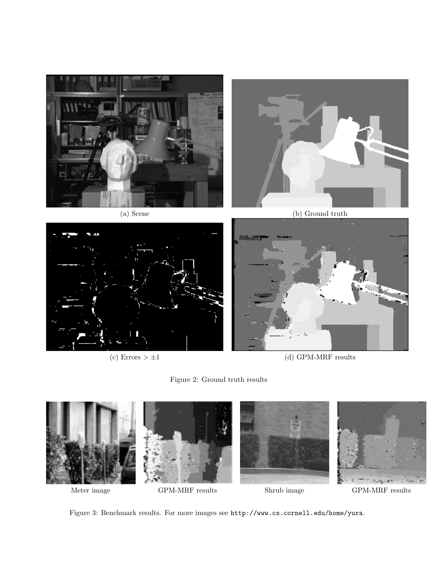

(c) Errors  $> \pm 1$  (d) GPM-MRF results





Figure 3: Benchmark results. For more images see http://www.cs.cornell.edu/home/yura.